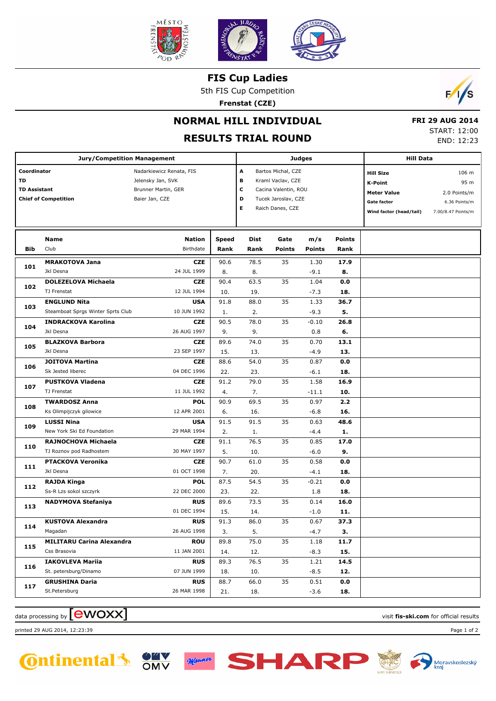

**FIS Cup Ladies**

5th FIS Cup Competition

**Frenstat (CZE)**



## **NORMAL HILL INDIVIDUAL**

## **RESULTS TRIAL ROUND**

 **FRI 29 AUG 2014** START: 12:00 END: 12:23

|                     | <b>Jury/Competition Management</b> |                          |              | <b>Judges</b>        | <b>Hill Data</b>   |               |                         |                    |      |
|---------------------|------------------------------------|--------------------------|--------------|----------------------|--------------------|---------------|-------------------------|--------------------|------|
| Coordinator         |                                    | Nadarkiewicz Renata, FIS |              | A                    | Bartos Michal, CZE |               | <b>Hill Size</b>        | 106 m              |      |
| TD                  |                                    | Jelensky Jan, SVK        |              | в                    | Kraml Vaclav, CZE  |               |                         | <b>K-Point</b>     | 95 m |
| <b>TD Assistant</b> |                                    | Brunner Martin, GER      | c            | Cacina Valentin, ROU |                    |               | <b>Meter Value</b>      | 2.0 Points/m       |      |
|                     | <b>Chief of Competition</b>        | Baier Jan, CZE           | D<br>Е       | Tucek Jaroslav, CZE  |                    |               | Gate factor             | 6.36 Points/m      |      |
|                     |                                    |                          |              |                      | Raich Danes, CZE   |               | Wind factor (head/tail) | 7.00/8.47 Points/m |      |
|                     |                                    |                          |              |                      |                    |               |                         |                    |      |
|                     |                                    |                          |              |                      |                    |               |                         |                    |      |
|                     | Name                               | <b>Nation</b>            | <b>Speed</b> | Dist                 | Gate               | m/s           | <b>Points</b>           |                    |      |
| <b>Bib</b>          | Club                               | Birthdate                | Rank         | Rank                 | <b>Points</b>      | <b>Points</b> | Rank                    |                    |      |
|                     | <b>MRAKOTOVA Jana</b>              | <b>CZE</b>               | 90.6         | 78.5                 | 35                 | 1.30          | 17.9                    |                    |      |
| 101                 | Jkl Desna                          | 24 JUL 1999              | 8.           | 8.                   |                    | $-9.1$        | 8.                      |                    |      |
|                     | <b>DOLEZELOVA Michaela</b>         | <b>CZE</b>               | 90.4         | 63.5                 | 35                 | 1.04          | 0.0                     |                    |      |
| 102                 | TJ Frenstat                        | 12 JUL 1994              | 10.          | 19.                  |                    | $-7.3$        | 18.                     |                    |      |
|                     | <b>ENGLUND Nita</b>                | <b>USA</b>               | 91.8         | 88.0                 | 35                 | 1.33          | 36.7                    |                    |      |
| 103                 | Steamboat Sprgs Winter Sprts Club  | 10 JUN 1992              | 1.           | 2.                   |                    | -9.3          | 5.                      |                    |      |
| 104                 | <b>INDRACKOVA Karolina</b>         | <b>CZE</b>               | 90.5         | 78.0                 | 35                 | $-0.10$       | 26.8                    |                    |      |
|                     | Jkl Desna                          | 26 AUG 1997              | 9.           | 9.                   |                    | 0.8           | 6.                      |                    |      |
| 105                 | <b>BLAZKOVA Barbora</b>            | <b>CZE</b>               | 89.6         | 74.0                 | 35                 | 0.70          | 13.1                    |                    |      |
|                     | Jkl Desna                          | 23 SEP 1997              | 15.          | 13.                  |                    | -4.9          | 13.                     |                    |      |
| 106                 | <b>JOITOVA Martina</b>             | <b>CZE</b>               | 88.6         | 54.0                 | 35                 | 0.87          | 0.0                     |                    |      |
|                     | Sk Jested liberec                  | 04 DEC 1996              | 22.          | 23.                  |                    | $-6.1$        | 18.                     |                    |      |
| 107                 | <b>PUSTKOVA Vladena</b>            | <b>CZE</b>               | 91.2         | 79.0                 | 35                 | 1.58          | 16.9                    |                    |      |
|                     | TJ Frenstat                        | 11 JUL 1992              | 4.           | 7.                   |                    | $-11.1$       | 10.                     |                    |      |
|                     | <b>TWARDOSZ Anna</b>               | <b>POL</b>               | 90.9         | 69.5                 | 35                 | 0.97          | 2.2                     |                    |      |
| 108                 | Ks Olimpijczyk gilowice            | 12 APR 2001              | 6.           | 16.                  |                    | $-6.8$        | 16.                     |                    |      |
|                     | <b>LUSSI Nina</b>                  | <b>USA</b>               | 91.5         | 91.5                 | 35                 | 0.63          | 48.6                    |                    |      |
| 109                 | New York Ski Ed Foundation         | 29 MAR 1994              | 2.           | 1.                   |                    | -4.4          | 1.                      |                    |      |
|                     | RAJNOCHOVA Michaela                | <b>CZE</b>               | 91.1         | 76.5                 | 35                 | 0.85          | 17.0                    |                    |      |
| 110                 | TJ Roznov pod Radhostem            | 30 MAY 1997              | 5.           | 10.                  |                    | $-6.0$        | 9.                      |                    |      |
|                     | <b>PTACKOVA Veronika</b>           | <b>CZE</b>               | 90.7         | 61.0                 | 35                 | 0.58          | 0.0                     |                    |      |
| 111                 | Jkl Desna                          | 01 OCT 1998              | 7.           | 20.                  |                    | -4.1          | 18.                     |                    |      |
|                     | <b>RAJDA Kinga</b>                 | <b>POL</b>               | 87.5         | 54.5                 | 35                 | $-0.21$       | 0.0                     |                    |      |
| 112                 | Ss-R Lzs sokol szczyrk             | 22 DEC 2000              | 23.          | 22.                  |                    | 1.8           | 18.                     |                    |      |
|                     | <b>NADYMOVA Stefaniya</b>          | <b>RUS</b>               | 89.6         | 73.5                 | 35                 | 0.14          | 16.0                    |                    |      |
| 113                 |                                    | 01 DEC 1994              | 15.          | 14.                  |                    | $-1.0$        | 11.                     |                    |      |
|                     | <b>KUSTOVA Alexandra</b>           | <b>RUS</b>               | 91.3         | 86.0                 | $\overline{35}$    | 0.67          | 37.3                    |                    |      |
| 114                 | Magadan                            | 26 AUG 1998              | 3.           | 5.                   |                    | $-4.7$        | з.                      |                    |      |
|                     | <b>MILITARU Carina Alexandra</b>   | <b>ROU</b>               | 89.8         | 75.0                 | 35                 | 1.18          | 11.7                    |                    |      |
| 115                 | Css Brasovia                       | 11 JAN 2001              | 14.          | 12.                  |                    | $-8.3$        | 15.                     |                    |      |
|                     | <b>IAKOVLEVA Mariia</b>            | <b>RUS</b>               | 89.3         | 76.5                 | 35                 | 1.21          | 14.5                    |                    |      |
| 116                 | St. petersburg/Dinamo              | 07 JUN 1999              | 18.          | 10.                  |                    | $-8.5$        | 12.                     |                    |      |
| 117                 | <b>GRUSHINA Daria</b>              | <b>RUS</b>               | 88.7         | 66.0                 | 35                 | 0.51          | 0.0                     |                    |      |
|                     | St.Petersburg                      | 26 MAR 1998              | 21.          | 18.                  |                    | $-3.6$        | 18.                     |                    |      |

data processing by **CWOXX** and  $\overline{A}$  and  $\overline{B}$  wisit **fis-ski.com** for official results

printed 29 AUG 2014, 12:23:39 Page 1 of 2



Manner

SHAR